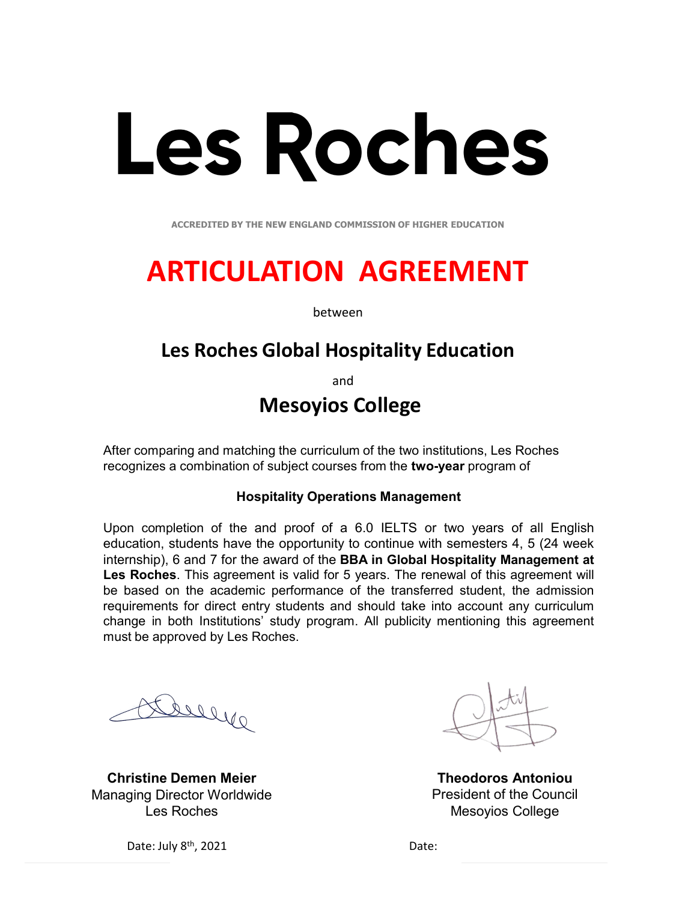# **Les Roches**

**ACCREDITED BY THE NEW ENGLAND COMMISSION OF HIGHER EDUCATION** 

## **ARTICULATION AGREEMENT**

between

### **Les Roches Global Hospitality Education**

and

### **Mesoyios College**

After comparing and matching the curriculum of the two institutions, Les Roches recognizes a combination of subject courses from the **two-year** program of

#### **Hospitality Operations Management**

Upon completion of the and proof of a 6.0 IELTS or two years of all English education, students have the opportunity to continue with semesters 4, 5 (24 week internship), 6 and 7 for the award of the **BBA in Global Hospitality Management at Les Roches**. This agreement is valid for 5 years. The renewal of this agreement will be based on the academic performance of the transferred student, the admission requirements for direct entry students and should take into account any curriculum change in both Institutions' study program. All publicity mentioning this agreement must be approved by Les Roches.

Dueye

**Christine Demen Meier** Managing Director Worldwide Les Roches



**Theodoros Antoniou**  President of the Council Mesoyios College

Date: July 8<sup>th</sup>, 2021 Date: